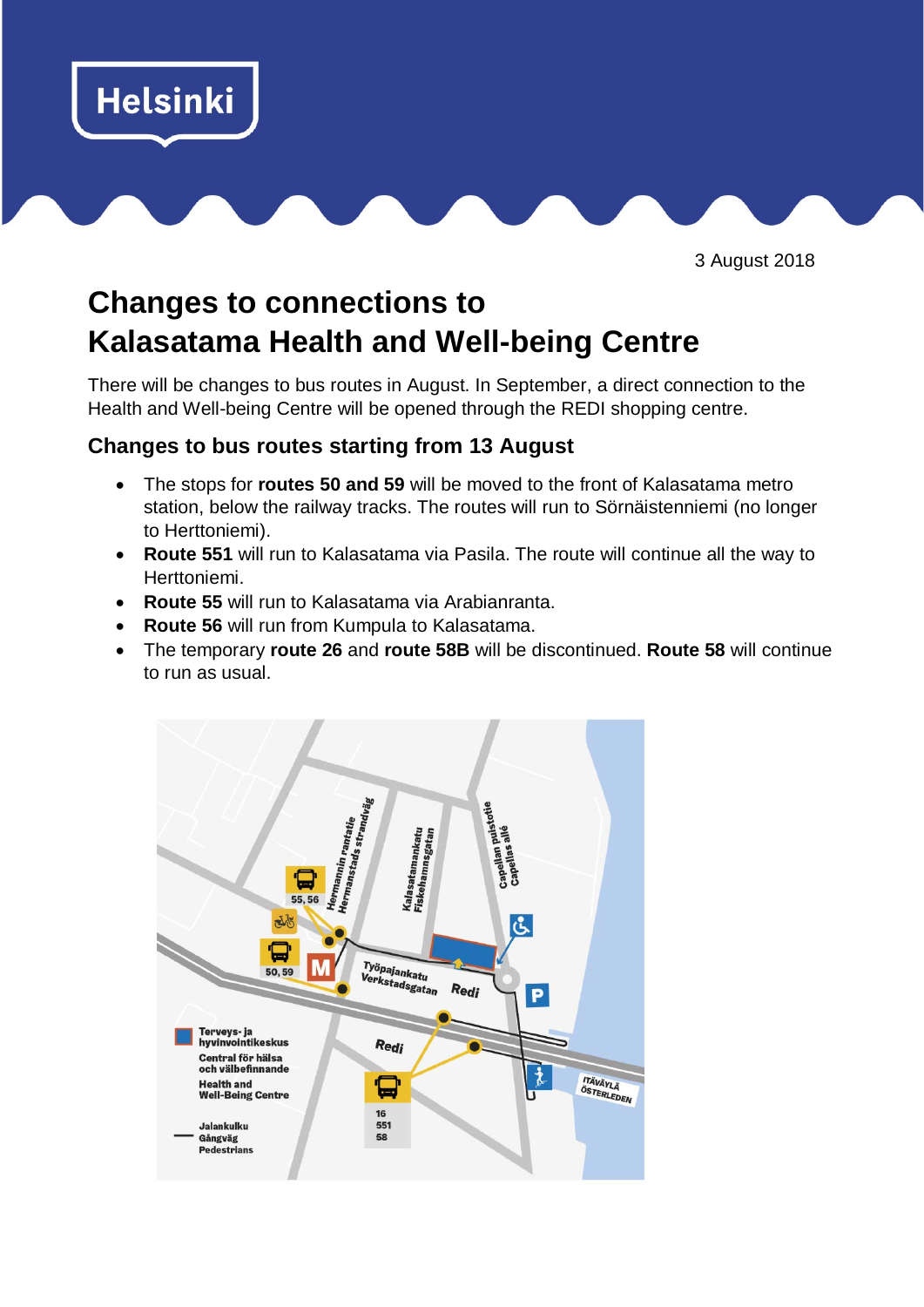

3 August 2018

## **Changes to connections to Kalasatama Health and Well-being Centre**

There will be changes to bus routes in August. In September, a direct connection to the Health and Well-being Centre will be opened through the REDI shopping centre.

## **Changes to bus routes starting from 13 August**

- The stops for **routes 50 and 59** will be moved to the front of Kalasatama metro station, below the railway tracks. The routes will run to Sörnäistenniemi (no longer to Herttoniemi).
- **Route 551** will run to Kalasatama via Pasila. The route will continue all the way to Herttoniemi.
- **Route 55** will run to Kalasatama via Arabianranta.
- **Route 56** will run from Kumpula to Kalasatama.
- The temporary **route 26** and **route 58B** will be discontinued. **Route 58** will continue to run as usual.